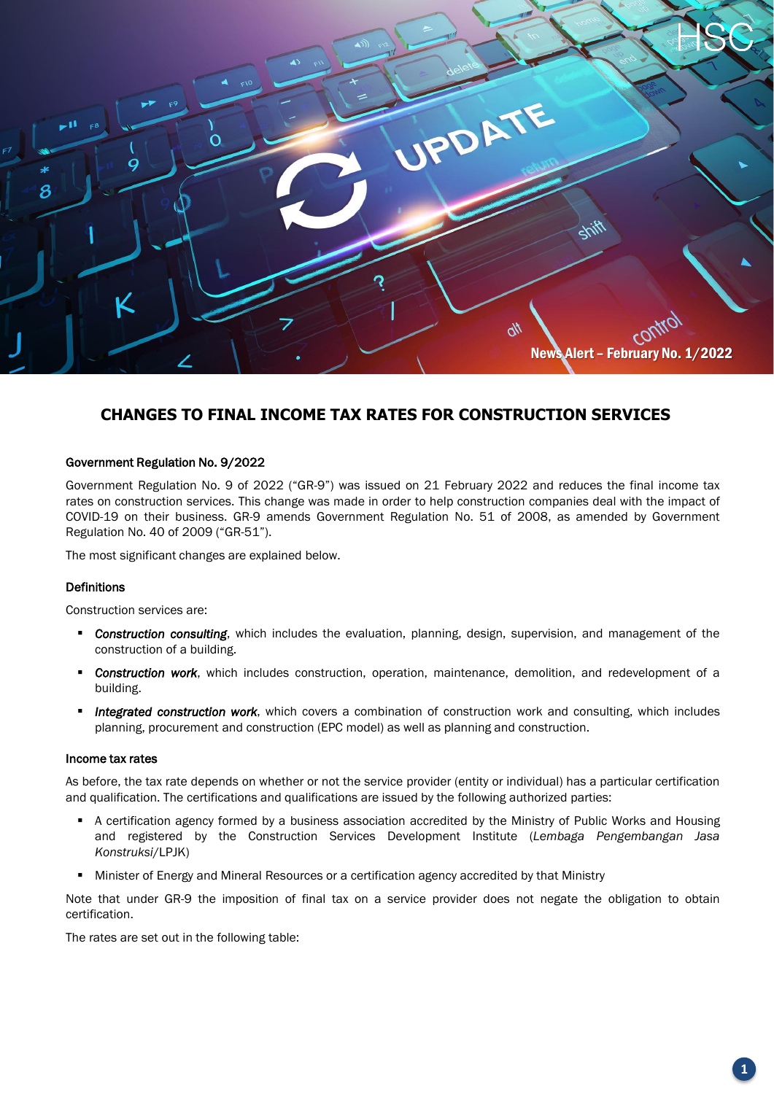

# **CHANGES TO FINAL INCOME TAX RATES FOR CONSTRUCTION SERVICES**

### Government Regulation No. 9/2022

Government Regulation No. 9 of 2022 ("GR-9") was issued on 21 February 2022 and reduces the final income tax rates on construction services. This change was made in order to help construction companies deal with the impact of COVID-19 on their business. GR-9 amends Government Regulation No. 51 of 2008, as amended by Government Regulation No. 40 of 2009 ("GR-51").

The most significant changes are explained below.

### Definitions

Construction services are:

- *Construction consulting*, which includes the evaluation, planning, design, supervision, and management of the construction of a building.
- *Construction work*, which includes construction, operation, maintenance, demolition, and redevelopment of a building.
- *Integrated construction work*, which covers a combination of construction work and consulting, which includes planning, procurement and construction (EPC model) as well as planning and construction.

#### Income tax rates

As before, the tax rate depends on whether or not the service provider (entity or individual) has a particular certification and qualification. The certifications and qualifications are issued by the following authorized parties:

- A certification agency formed by a business association accredited by the Ministry of Public Works and Housing and registered by the Construction Services Development Institute (*Lembaga Pengembangan Jasa Konstruksi*/LPJK)
- Minister of Energy and Mineral Resources or a certification agency accredited by that Ministry

Note that under GR-9 the imposition of final tax on a service provider does not negate the obligation to obtain certification.

The rates are set out in the following table: